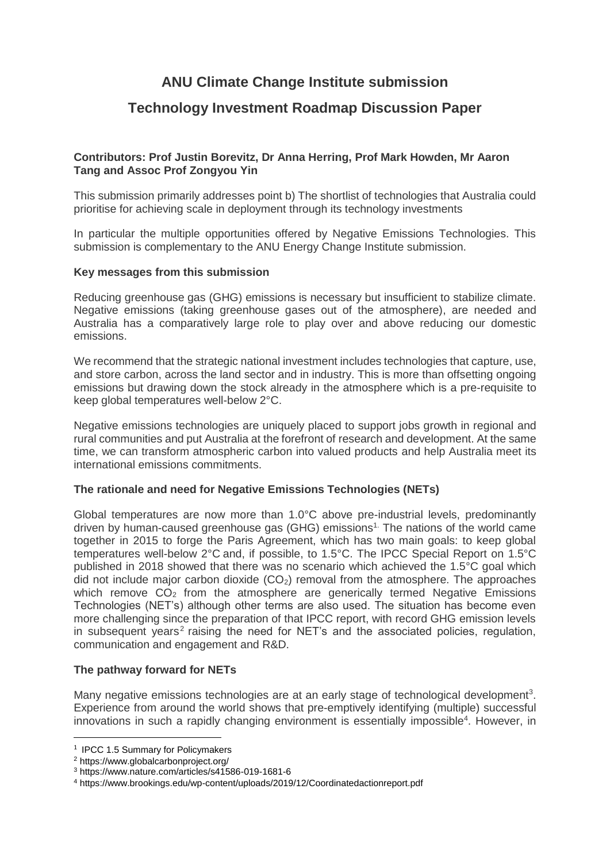# **ANU Climate Change Institute submission**

## **Technology Investment Roadmap Discussion Paper**

## **Contributors: Prof Justin Borevitz, Dr Anna Herring, Prof Mark Howden, Mr Aaron Tang and Assoc Prof Zongyou Yin**

This submission primarily addresses point b) The shortlist of technologies that Australia could prioritise for achieving scale in deployment through its technology investments

In particular the multiple opportunities offered by Negative Emissions Technologies. This submission is complementary to the ANU Energy Change Institute submission.

### **Key messages from this submission**

Reducing greenhouse gas (GHG) emissions is necessary but insufficient to stabilize climate. Negative emissions (taking greenhouse gases out of the atmosphere), are needed and Australia has a comparatively large role to play over and above reducing our domestic emissions.

We recommend that the strategic national investment includes technologies that capture, use, and store carbon, across the land sector and in industry. This is more than offsetting ongoing emissions but drawing down the stock already in the atmosphere which is a pre-requisite to keep global temperatures well-below 2°C.

Negative emissions technologies are uniquely placed to support jobs growth in regional and rural communities and put Australia at the forefront of research and development. At the same time, we can transform atmospheric carbon into valued products and help Australia meet its international emissions commitments.

## **The rationale and need for Negative Emissions Technologies (NETs)**

Global temperatures are now more than 1.0°C above pre-industrial levels, predominantly driven by human-caused greenhouse gas  $(GHG)$  emissions<sup>1</sup>. The nations of the world came together in 2015 to forge the Paris Agreement, which has two main goals: to keep global temperatures well-below 2°C and, if possible, to 1.5°C. The IPCC Special Report on 1.5°C published in 2018 showed that there was no scenario which achieved the 1.5°C goal which did not include major carbon dioxide  $(CO<sub>2</sub>)$  removal from the atmosphere. The approaches which remove  $CO<sub>2</sub>$  from the atmosphere are generically termed Negative Emissions Technologies (NET's) although other terms are also used. The situation has become even more challenging since the preparation of that IPCC report, with record GHG emission levels in subsequent years<sup>2</sup> raising the need for NET's and the associated policies, regulation, communication and engagement and R&D.

#### **The pathway forward for NETs**

Many negative emissions technologies are at an early stage of technological development<sup>3</sup>. Experience from around the world shows that pre-emptively identifying (multiple) successful innovations in such a rapidly changing environment is essentially impossible<sup>4</sup>. However, in

1

<sup>&</sup>lt;sup>1</sup> IPCC 1.5 Summary for Policymakers

<sup>2</sup> <https://www.globalcarbonproject.org/>

<sup>3</sup> https://www.nature.com/articles/s41586-019-1681-6

<sup>4</sup> https://www.brookings.edu/wp-content/uploads/2019/12/Coordinatedactionreport.pdf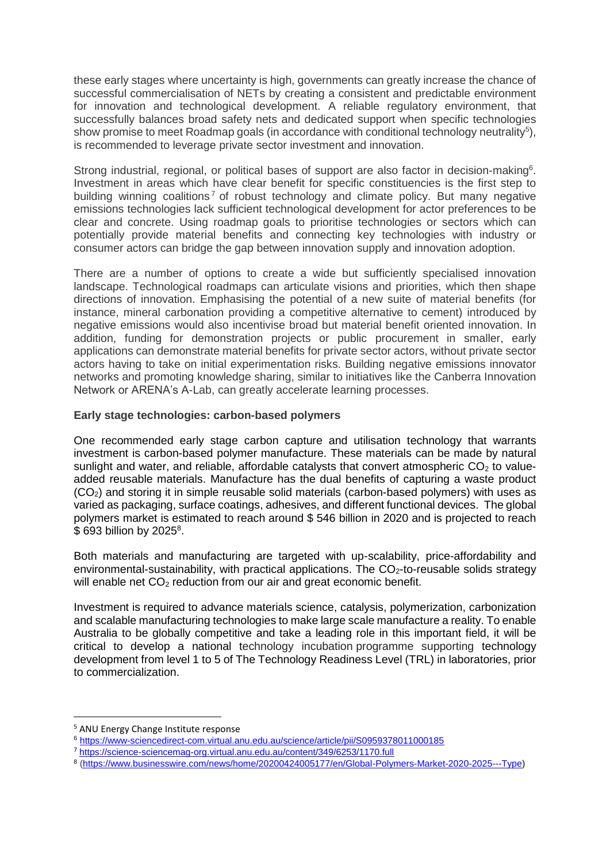these early stages where uncertainty is high, governments can greatly increase the chance of successful commercialisation of NETs by creating a consistent and predictable environment for innovation and technological development. A reliable regulatory environment, that successfully balances broad safety nets and dedicated support when specific technologies show promise to meet Roadmap goals (in accordance with conditional technology neutrality<sup>5</sup>), is recommended to leverage private sector investment and innovation.

Strong industrial, regional, or political bases of support are also factor in decision-making<sup>6</sup>. Investment in areas which have clear benefit for specific constituencies is the first step to building winning coalitions<sup>7</sup> of robust technology and climate policy. But many negative emissions technologies lack sufficient technological development for actor preferences to be clear and concrete. Using roadmap goals to prioritise technologies or sectors which can potentially provide material benefits and connecting key technologies with industry or consumer actors can bridge the gap between innovation supply and innovation adoption.

There are a number of options to create a wide but sufficiently specialised innovation landscape. Technological roadmaps can articulate visions and priorities, which then shape directions of innovation. Emphasising the potential of a new suite of material benefits (for instance, mineral carbonation providing a competitive alternative to cement) introduced by negative emissions would also incentivise broad but material benefit oriented innovation. In addition, funding for demonstration projects or public procurement in smaller, early applications can demonstrate material benefits for private sector actors, without private sector actors having to take on initial experimentation risks. Building negative emissions innovator networks and promoting knowledge sharing, similar to initiatives like the Canberra Innovation Network or ARENA's A-Lab, can greatly accelerate learning processes.

## **Early stage technologies: carbon-based polymers**

One recommended early stage carbon capture and utilisation technology that warrants investment is carbon-based polymer manufacture. These materials can be made by natural sunlight and water, and reliable, affordable catalysts that convert atmospheric  $CO<sub>2</sub>$  to valueadded reusable materials. Manufacture has the dual benefits of capturing a waste product (CO2) and storing it in simple reusable solid materials (carbon-based polymers) with uses as varied as packaging, surface coatings, adhesives, and different functional devices. The global polymers market is estimated to reach around \$ 546 billion in 2020 and is projected to reach \$693 billion by 2025<sup>8</sup>.

Both materials and manufacturing are targeted with up-scalability, price-affordability and environmental-sustainability, with practical applications. The  $CO<sub>2</sub>$ -to-reusable solids strategy will enable net  $CO<sub>2</sub>$  reduction from our air and great economic benefit.

Investment is required to advance materials science, catalysis, polymerization, carbonization and scalable manufacturing technologies to make large scale manufacture a reality. To enable Australia to be globally competitive and take a leading role in this important field, it will be critical to develop a national technology incubation programme supporting technology development from level 1 to 5 of The Technology Readiness Level (TRL) in laboratories, prior to commercialization.

**.** 

<sup>5</sup> ANU Energy Change Institute response

<sup>6</sup> <https://www-sciencedirect-com.virtual.anu.edu.au/science/article/pii/S0959378011000185>

<sup>7</sup> <https://science-sciencemag-org.virtual.anu.edu.au/content/349/6253/1170.full>

<sup>8</sup> (https://www.businesswire.com/news/home/20200424005177/en/Global-Polymers-Market-2020-2025---Type)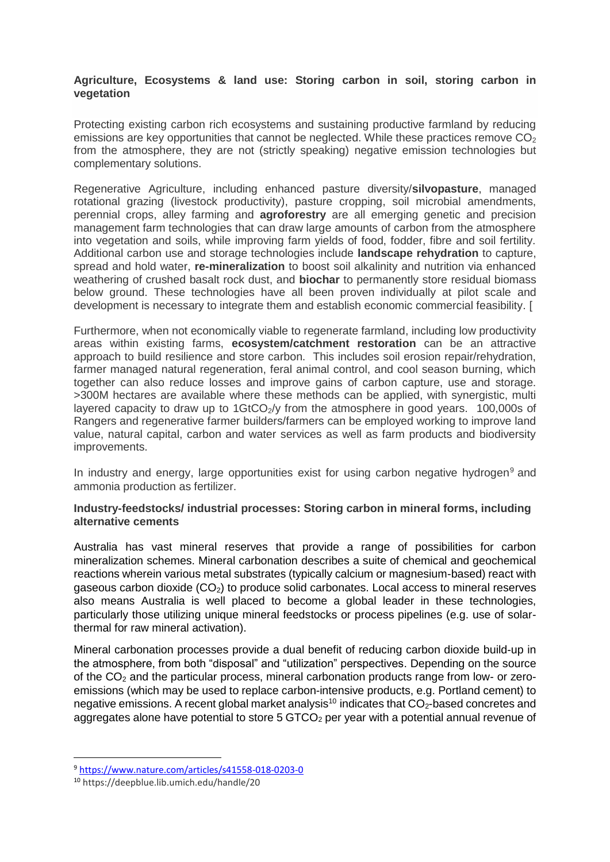## **Agriculture, Ecosystems & land use: Storing carbon in soil, storing carbon in vegetation**

Protecting existing carbon rich ecosystems and sustaining productive farmland by reducing emissions are key opportunities that cannot be neglected. While these practices remove  $CO<sub>2</sub>$ from the atmosphere, they are not (strictly speaking) negative emission technologies but complementary solutions.

Regenerative Agriculture, including enhanced pasture diversity/**silvopasture**, managed rotational grazing (livestock productivity), pasture cropping, soil microbial amendments, perennial crops, alley farming and **agroforestry** are all emerging genetic and precision management farm technologies that can draw large amounts of carbon from the atmosphere into vegetation and soils, while improving farm yields of food, fodder, fibre and soil fertility. Additional carbon use and storage technologies include **landscape rehydration** to capture, spread and hold water, **re-mineralization** to boost soil alkalinity and nutrition via enhanced weathering of crushed basalt rock dust, and **biochar** to permanently store residual biomass below ground. These technologies have all been proven individually at pilot scale and development is necessary to integrate them and establish economic commercial feasibility. [

Furthermore, when not economically viable to regenerate farmland, including low productivity areas within existing farms, **ecosystem/catchment restoration** can be an attractive approach to build resilience and store carbon. This includes soil erosion repair/rehydration, farmer managed natural regeneration, feral animal control, and cool season burning, which together can also reduce losses and improve gains of carbon capture, use and storage. >300M hectares are available where these methods can be applied, with synergistic, multi layered capacity to draw up to  $1 \text{GtCO}_2/\text{y}$  from the atmosphere in good years. 100,000s of Rangers and regenerative farmer builders/farmers can be employed working to improve land value, natural capital, carbon and water services as well as farm products and biodiversity improvements.

In industry and energy, large opportunities exist for using carbon negative hydrogen<sup>9</sup> and ammonia production as fertilizer.

## **Industry-feedstocks/ industrial processes: Storing carbon in mineral forms, including alternative cements**

Australia has vast mineral reserves that provide a range of possibilities for carbon mineralization schemes. Mineral carbonation describes a suite of chemical and geochemical reactions wherein various metal substrates (typically calcium or magnesium-based) react with gaseous carbon dioxide  $(CO_2)$  to produce solid carbonates. Local access to mineral reserves also means Australia is well placed to become a global leader in these technologies, particularly those utilizing unique mineral feedstocks or process pipelines (e.g. use of solarthermal for raw mineral activation).

Mineral carbonation processes provide a dual benefit of reducing carbon dioxide build-up in the atmosphere, from both "disposal" and "utilization" perspectives. Depending on the source of the CO<sup>2</sup> and the particular process, mineral carbonation products range from low- or zeroemissions (which may be used to replace carbon-intensive products, e.g. Portland cement) to negative emissions. A recent global market analysis<sup>10</sup> indicates that  $CO<sub>2</sub>$ -based concretes and aggregates alone have potential to store  $5$  GTCO<sub>2</sub> per year with a potential annual revenue of

 $\overline{a}$ 

<sup>9</sup> https://www.nature.com/articles/s41558-018-0203-0

<sup>10</sup> https://deepblue.lib.umich.edu/handle/20